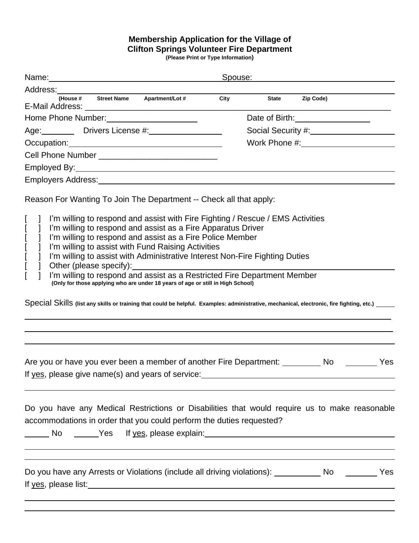## **Membership Application for the Village of Clifton Springs Volunteer Fire Department**

**(Please Print or Type Information)**

| Name:                                                                                                                                                                                                                                                                                                                                                                                                                                                                                                                                                                                                            | Spouse:                                                                                                                                        |  |  |  |
|------------------------------------------------------------------------------------------------------------------------------------------------------------------------------------------------------------------------------------------------------------------------------------------------------------------------------------------------------------------------------------------------------------------------------------------------------------------------------------------------------------------------------------------------------------------------------------------------------------------|------------------------------------------------------------------------------------------------------------------------------------------------|--|--|--|
| Address:                                                                                                                                                                                                                                                                                                                                                                                                                                                                                                                                                                                                         |                                                                                                                                                |  |  |  |
| (House # Street Name<br><b>Apartment/Lot #</b><br>E-Mail Address:                                                                                                                                                                                                                                                                                                                                                                                                                                                                                                                                                | Zip Code)<br>City<br><b>State</b>                                                                                                              |  |  |  |
| Home Phone Number:                                                                                                                                                                                                                                                                                                                                                                                                                                                                                                                                                                                               | Date of Birth:                                                                                                                                 |  |  |  |
| Drivers License #:<br>Age:                                                                                                                                                                                                                                                                                                                                                                                                                                                                                                                                                                                       | Social Security #:                                                                                                                             |  |  |  |
| Occupation:                                                                                                                                                                                                                                                                                                                                                                                                                                                                                                                                                                                                      | Work Phone #:                                                                                                                                  |  |  |  |
| Cell Phone Number _                                                                                                                                                                                                                                                                                                                                                                                                                                                                                                                                                                                              |                                                                                                                                                |  |  |  |
| Employed By:                                                                                                                                                                                                                                                                                                                                                                                                                                                                                                                                                                                                     |                                                                                                                                                |  |  |  |
| Employers Address:                                                                                                                                                                                                                                                                                                                                                                                                                                                                                                                                                                                               |                                                                                                                                                |  |  |  |
| Reason For Wanting To Join The Department -- Check all that apply:<br>I'm willing to respond and assist with Fire Fighting / Rescue / EMS Activities<br>I'm willing to respond and assist as a Fire Apparatus Driver<br>I'm willing to respond and assist as a Fire Police Member<br>I'm willing to assist with Fund Raising Activities<br>I'm willing to assist with Administrative Interest Non-Fire Fighting Duties<br>Other (please specify):<br>I'm willing to respond and assist as a Restricted Fire Department Member<br>(Only for those applying who are under 18 years of age or still in High School) | Special Skills (list any skills or training that could be helpful. Examples: administrative, mechanical, electronic, fire fighting, etc.) ____ |  |  |  |
|                                                                                                                                                                                                                                                                                                                                                                                                                                                                                                                                                                                                                  | Are you or have you ever been a member of another Fire Department: No No Nessangle Yes                                                         |  |  |  |
| accommodations in order that you could perform the duties requested?<br>No _____Yes If <u>yes,</u> please explain:___                                                                                                                                                                                                                                                                                                                                                                                                                                                                                            | Do you have any Medical Restrictions or Disabilities that would require us to make reasonable                                                  |  |  |  |
| If yes, please list:                                                                                                                                                                                                                                                                                                                                                                                                                                                                                                                                                                                             | Do you have any Arrests or Violations (include all driving violations): ____________ No _________ Yes                                          |  |  |  |